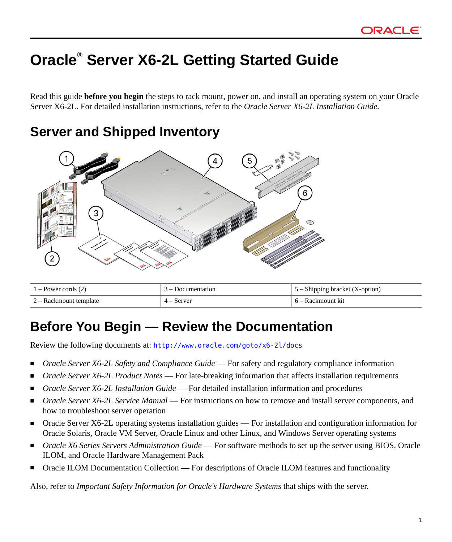# **Oracle® Server X6-2L Getting Started Guide**

Read this guide **before you begin** the steps to rack mount, power on, and install an operating system on your Oracle Server X6-2L. For detailed installation instructions, refer to the *Oracle Server X6-2L Installation Guide.*

## **Server and Shipped Inventory**



| 1 – Power cords (2)    | 3 – Documentation | 5 – Shipping bracket (X-option) |
|------------------------|-------------------|---------------------------------|
| 2 – Rackmount template | 4 – Server        | - 6 – Rackmount kit             |

## **Before You Begin — Review the Documentation**

Review the following documents at: <http://www.oracle.com/goto/x6-2l/docs>

- Oracle Server X6-2L Safety and Compliance Guide For safety and regulatory compliance information
- *Oracle Server X6-2L Product Notes* For late-breaking information that affects installation requirements
- *Oracle Server X6-2L Installation Guide* For detailed installation information and procedures
- *Oracle Server X6-2L Service Manual* For instructions on how to remove and install server components, and how to troubleshoot server operation
- Oracle Server X6-2L operating systems installation guides For installation and configuration information for Oracle Solaris, Oracle VM Server, Oracle Linux and other Linux, and Windows Server operating systems
- *Oracle X6 Series Servers Administration Guide* For software methods to set up the server using BIOS, Oracle ILOM, and Oracle Hardware Management Pack
- Oracle ILOM Documentation Collection For descriptions of Oracle ILOM features and functionality

Also, refer to *Important Safety Information for Oracle's Hardware Systems* that ships with the server.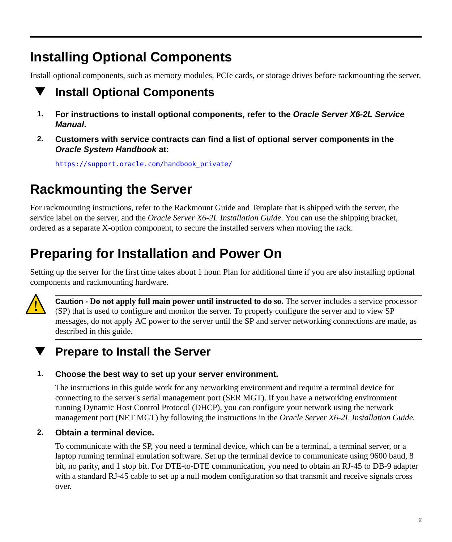# **Installing Optional Components**

Install optional components, such as memory modules, PCIe cards, or storage drives before rackmounting the server.

### **Install Optional Components** v

- **1. For instructions to install optional components, refer to the** *Oracle Server X6-2L Service Manual***.**
- **2. Customers with service contracts can find a list of optional server components in the** *Oracle System Handbook* **at:**

[https://support.oracle.com/handbook\\_private/](https://support.oracle.com/handbook_private/)

# **Rackmounting the Server**

For rackmounting instructions, refer to the Rackmount Guide and Template that is shipped with the server, the service label on the server, and the *Oracle Server X6-2L Installation Guide*. You can use the shipping bracket, ordered as a separate X-option component, to secure the installed servers when moving the rack.

# **Preparing for Installation and Power On**

Setting up the server for the first time takes about 1 hour. Plan for additional time if you are also installing optional components and rackmounting hardware.



**Caution - Do not apply full main power until instructed to do so.** The server includes a service processor (SP) that is used to configure and monitor the server. To properly configure the server and to view SP messages, do not apply AC power to the server until the SP and server networking connections are made, as described in this guide.

### **Prepare to Install the Server**

### **1. Choose the best way to set up your server environment.**

The instructions in this guide work for any networking environment and require a terminal device for connecting to the server's serial management port (SER MGT). If you have a networking environment running Dynamic Host Control Protocol (DHCP), you can configure your network using the network management port (NET MGT) by following the instructions in the *Oracle Server X6-2L Installation Guide.*

### **2. Obtain a terminal device.**

To communicate with the SP, you need a terminal device, which can be a terminal, a terminal server, or a laptop running terminal emulation software. Set up the terminal device to communicate using 9600 baud, 8 bit, no parity, and 1 stop bit. For DTE-to-DTE communication, you need to obtain an RJ-45 to DB-9 adapter with a standard RJ-45 cable to set up a null modem configuration so that transmit and receive signals cross over.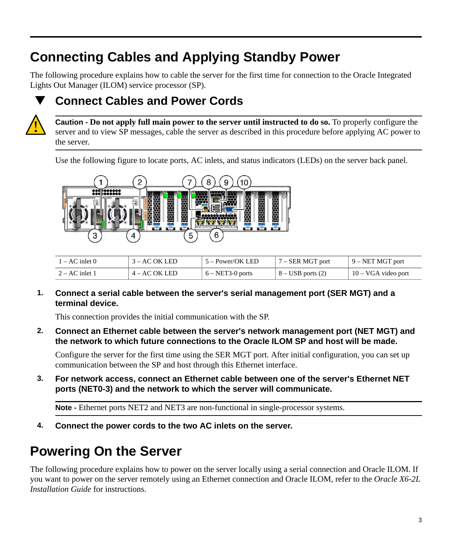# **Connecting Cables and Applying Standby Power**

The following procedure explains how to cable the server for the first time for connection to the Oracle Integrated Lights Out Manager (ILOM) service processor (SP).



## **Connect Cables and Power Cords**



**Caution - Do not apply full main power to the server until instructed to do so.** To properly configure the server and to view SP messages, cable the server as described in this procedure before applying AC power to the server.

Use the following figure to locate ports, AC inlets, and status indicators (LEDs) on the server back panel.



| i – AC inlet 0   | 3 – AC OK LED   | 5 – Power/OK LED   | 7 – SER MGT port      | $9 - NET MGT$ port  |
|------------------|-----------------|--------------------|-----------------------|---------------------|
| $2 - AC$ inlet 1 | $4 - AC$ OK LED | $6 - NET3-0$ ports | $8 - USB$ ports $(2)$ | 10 – VGA video port |

**1. Connect a serial cable between the server's serial management port (SER MGT) and a terminal device.**

This connection provides the initial communication with the SP.

**2. Connect an Ethernet cable between the server's network management port (NET MGT) and the network to which future connections to the Oracle ILOM SP and host will be made.**

Configure the server for the first time using the SER MGT port. After initial configuration, you can set up communication between the SP and host through this Ethernet interface.

**3. For network access, connect an Ethernet cable between one of the server's Ethernet NET ports (NET0-3) and the network to which the server will communicate.**

**Note -** Ethernet ports NET2 and NET3 are non-functional in single-processor systems.

**4. Connect the power cords to the two AC inlets on the server.**

# **Powering On the Server**

The following procedure explains how to power on the server locally using a serial connection and Oracle ILOM. If you want to power on the server remotely using an Ethernet connection and Oracle ILOM, refer to the *Oracle X6-2L Installation Guide* for instructions.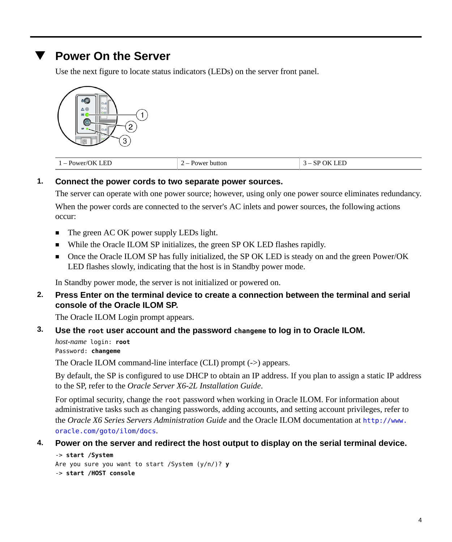### **Power On the Server**

Use the next figure to locate status indicators (LEDs) on the server front panel.



| 7.ED<br>l – Power/OK<br>$\overline{\phantom{a}}$ | Power<br>button<br>$\overline{\phantom{a}}$ | EТ<br>ገዞ<br>ЭP<br>LEL |
|--------------------------------------------------|---------------------------------------------|-----------------------|
|--------------------------------------------------|---------------------------------------------|-----------------------|

### **1. Connect the power cords to two separate power sources.**

The server can operate with one power source; however, using only one power source eliminates redundancy. When the power cords are connected to the server's AC inlets and power sources, the following actions occur:

- The green AC OK power supply LEDs light.
- While the Oracle ILOM SP initializes, the green SP OK LED flashes rapidly.
- Once the Oracle ILOM SP has fully initialized, the SP OK LED is steady on and the green Power/OK LED flashes slowly, indicating that the host is in Standby power mode.

In Standby power mode, the server is not initialized or powered on.

**2. Press Enter on the terminal device to create a connection between the terminal and serial console of the Oracle ILOM SP.**

The Oracle ILOM Login prompt appears.

### **3. Use the root user account and the password changeme to log in to Oracle ILOM.**

*host-name* login: **root** Password: **changeme**

The Oracle ILOM command-line interface (CLI) prompt (->) appears.

By default, the SP is configured to use DHCP to obtain an IP address. If you plan to assign a static IP address to the SP, refer to the *Oracle Server X6-2L Installation Guide*.

For optimal security, change the root password when working in Oracle ILOM. For information about administrative tasks such as changing passwords, adding accounts, and setting account privileges, refer to the *Oracle X6 Series Servers Administration Guide* and the Oracle ILOM documentation at [http://www.](http://www.oracle.com/goto/ilom/docs) [oracle.com/goto/ilom/docs](http://www.oracle.com/goto/ilom/docs).

### **4. Power on the server and redirect the host output to display on the serial terminal device.**

```
-> start /System
Are you sure you want to start /System (y/n/)? y
-> start /HOST console
```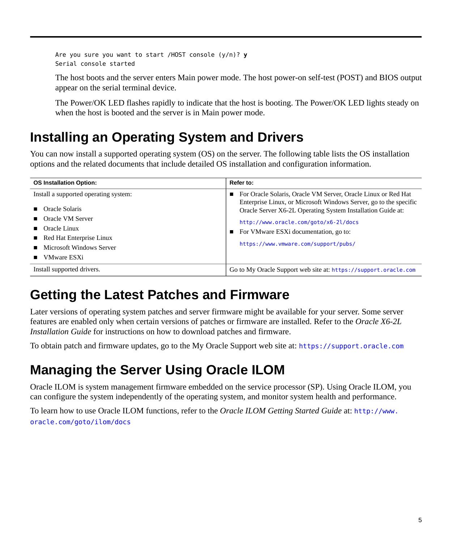```
Are you sure you want to start /HOST console (y/n)? y
Serial console started
```
The host boots and the server enters Main power mode. The host power-on self-test (POST) and BIOS output appear on the serial terminal device.

The Power/OK LED flashes rapidly to indicate that the host is booting. The Power/OK LED lights steady on when the host is booted and the server is in Main power mode.

## **Installing an Operating System and Drivers**

You can now install a supported operating system (OS) on the server. The following table lists the OS installation options and the related documents that include detailed OS installation and configuration information.

| <b>OS Installation Option:</b>                                                                                                                             | Refer to:                                                                                                                                                                                                                                                                                                                   |
|------------------------------------------------------------------------------------------------------------------------------------------------------------|-----------------------------------------------------------------------------------------------------------------------------------------------------------------------------------------------------------------------------------------------------------------------------------------------------------------------------|
| Install a supported operating system:<br>Oracle Solaris-<br>■ Oracle VM Server<br>Oracle Linux<br>■ Red Hat Enterprise Linux<br>■ Microsoft Windows Server | For Oracle Solaris, Oracle VM Server, Oracle Linux or Red Hat<br>Enterprise Linux, or Microsoft Windows Server, go to the specific<br>Oracle Server X6-2L Operating System Installation Guide at:<br>http://www.oracle.com/goto/x6-2l/docs<br>For VMware ESXi documentation, go to:<br>https://www.vmware.com/support/pubs/ |
| VMware ESXi                                                                                                                                                |                                                                                                                                                                                                                                                                                                                             |
| Install supported drivers.                                                                                                                                 | Go to My Oracle Support web site at: https://support.oracle.com                                                                                                                                                                                                                                                             |
|                                                                                                                                                            |                                                                                                                                                                                                                                                                                                                             |

## **Getting the Latest Patches and Firmware**

Later versions of operating system patches and server firmware might be available for your server. Some server features are enabled only when certain versions of patches or firmware are installed. Refer to the *Oracle X6-2L Installation Guide* for instructions on how to download patches and firmware.

To obtain patch and firmware updates, go to the My Oracle Support web site at: <https://support.oracle.com>

## **Managing the Server Using Oracle ILOM**

Oracle ILOM is system management firmware embedded on the service processor (SP). Using Oracle ILOM, you can configure the system independently of the operating system, and monitor system health and performance.

To learn how to use Oracle ILOM functions, refer to the *Oracle ILOM Getting Started Guide* at: [http://www.](http://www.oracle.com/goto/ilom/docs) [oracle.com/goto/ilom/docs](http://www.oracle.com/goto/ilom/docs)